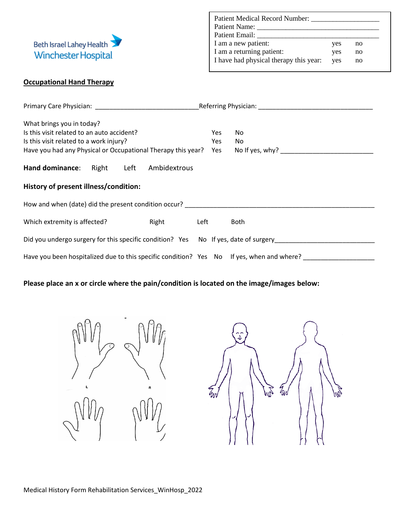

| <b>Patient Medical Record Number:</b>  |     |    |  |
|----------------------------------------|-----|----|--|
| Patient Name:                          |     |    |  |
| Patient Email:                         |     |    |  |
| I am a new patient:                    | yes | no |  |
| I am a returning patient:              | yes | no |  |
| I have had physical therapy this year: | ves | no |  |

## **Occupational Hand Therapy**

| What brings you in today?<br>Is this visit related to an auto accident?<br>Is this visit related to a work injury?<br>Have you had any Physical or Occupational Therapy this year? | Yes<br>Yes | No<br>No    |  |  |  |  |  |  |  |
|------------------------------------------------------------------------------------------------------------------------------------------------------------------------------------|------------|-------------|--|--|--|--|--|--|--|
| Hand dominance: Right Left Ambidextrous                                                                                                                                            |            |             |  |  |  |  |  |  |  |
| History of present illness/condition:                                                                                                                                              |            |             |  |  |  |  |  |  |  |
| How and when (date) did the present condition occur?                                                                                                                               |            |             |  |  |  |  |  |  |  |
| Which extremity is affected?<br>Right                                                                                                                                              | Left       | <b>Both</b> |  |  |  |  |  |  |  |
| Did you undergo surgery for this specific condition? Yes No If yes, date of surgery                                                                                                |            |             |  |  |  |  |  |  |  |
| Have you been hospitalized due to this specific condition? Yes No If yes, when and where?                                                                                          |            |             |  |  |  |  |  |  |  |

## **Please place an x or circle where the pain/condition is located on the image/images below:**